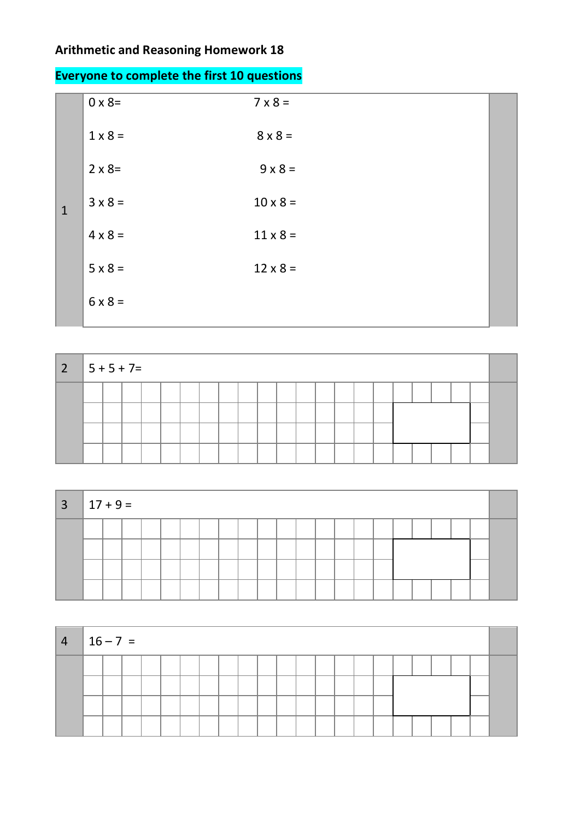## **Arithmetic and Reasoning Homework 18**

|  | <b>Everyone to complete the first 10 questions</b> |
|--|----------------------------------------------------|
|--|----------------------------------------------------|

| $0 \times 8=$  | $7 \times 8 =$  |  |
|----------------|-----------------|--|
| $1 \times 8 =$ | $8 \times 8 =$  |  |
| $2 \times 8=$  | $9 \times 8 =$  |  |
| $3 \times 8 =$ | $10 \times 8 =$ |  |
| $4 \times 8 =$ | $11 \times 8 =$ |  |
| $5 \times 8 =$ | $12 \times 8 =$ |  |
| $6 \times 8 =$ |                 |  |
|                |                 |  |

| $2 \mid 5 + 5 + 7 =$ |  |  |  |  |  |  |  |  |  |  |  |
|----------------------|--|--|--|--|--|--|--|--|--|--|--|
|                      |  |  |  |  |  |  |  |  |  |  |  |
|                      |  |  |  |  |  |  |  |  |  |  |  |
|                      |  |  |  |  |  |  |  |  |  |  |  |
|                      |  |  |  |  |  |  |  |  |  |  |  |

| $3   17 + 9 =$ |  |  |  |  |  |  |  |  |  |  |  |
|----------------|--|--|--|--|--|--|--|--|--|--|--|
|                |  |  |  |  |  |  |  |  |  |  |  |
|                |  |  |  |  |  |  |  |  |  |  |  |
|                |  |  |  |  |  |  |  |  |  |  |  |
|                |  |  |  |  |  |  |  |  |  |  |  |

| $ 4 16-7 =$ |  |  |  |  |  |  |  |  |  |  |  |
|-------------|--|--|--|--|--|--|--|--|--|--|--|
|             |  |  |  |  |  |  |  |  |  |  |  |
|             |  |  |  |  |  |  |  |  |  |  |  |
|             |  |  |  |  |  |  |  |  |  |  |  |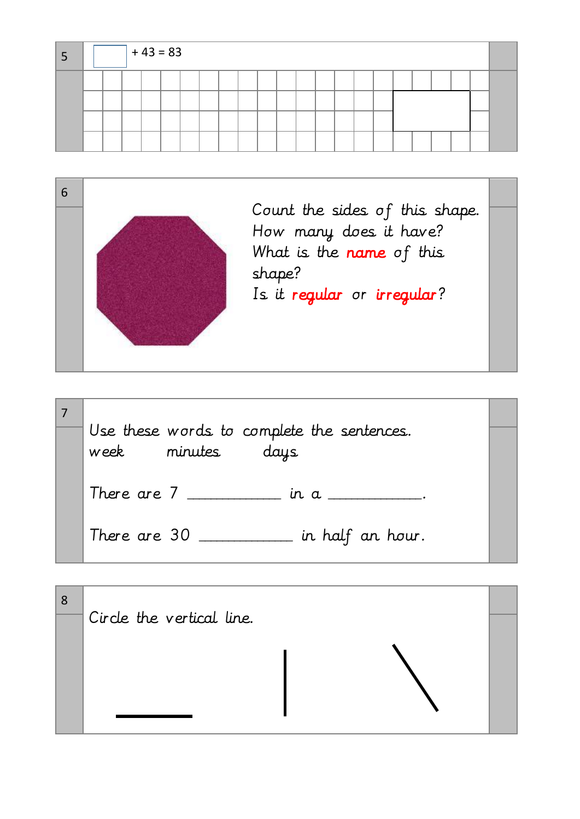|  |  | $+ 43 = 83$ |  |  |  |  |  |  |  |  |  |
|--|--|-------------|--|--|--|--|--|--|--|--|--|
|  |  |             |  |  |  |  |  |  |  |  |  |
|  |  |             |  |  |  |  |  |  |  |  |  |
|  |  |             |  |  |  |  |  |  |  |  |  |
|  |  |             |  |  |  |  |  |  |  |  |  |

|  | Count the sides of this shape.                     |  |
|--|----------------------------------------------------|--|
|  | How many does it have?<br>What is the name of this |  |
|  | shape?                                             |  |
|  | Is it regular or irregular?                        |  |
|  |                                                    |  |

| Use these words to complete the sentences.<br>week<br>minutes<br>days |  |
|-----------------------------------------------------------------------|--|
| There are $7 \_$ in a $\_$ .                                          |  |
| $\_$ in half an hour.<br>There are 30                                 |  |

| 8 |                           |  |
|---|---------------------------|--|
|   | Circle the vertical line. |  |
|   |                           |  |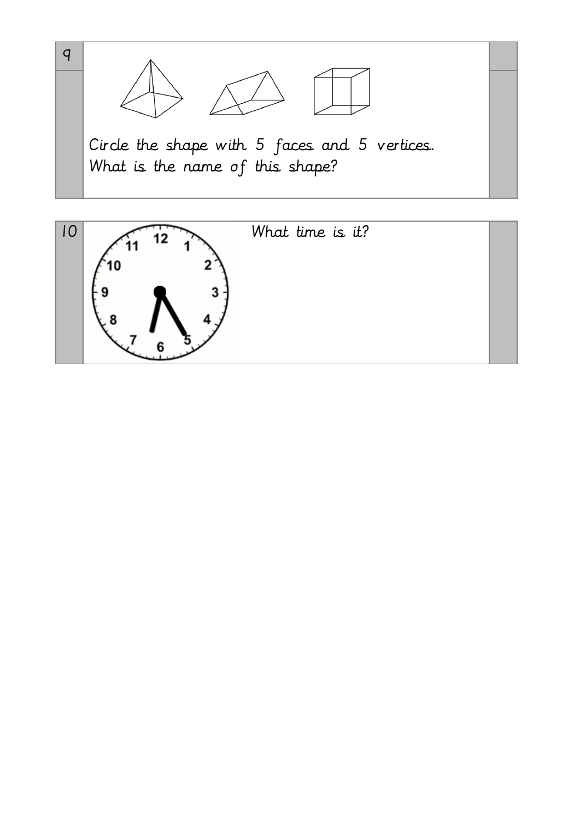

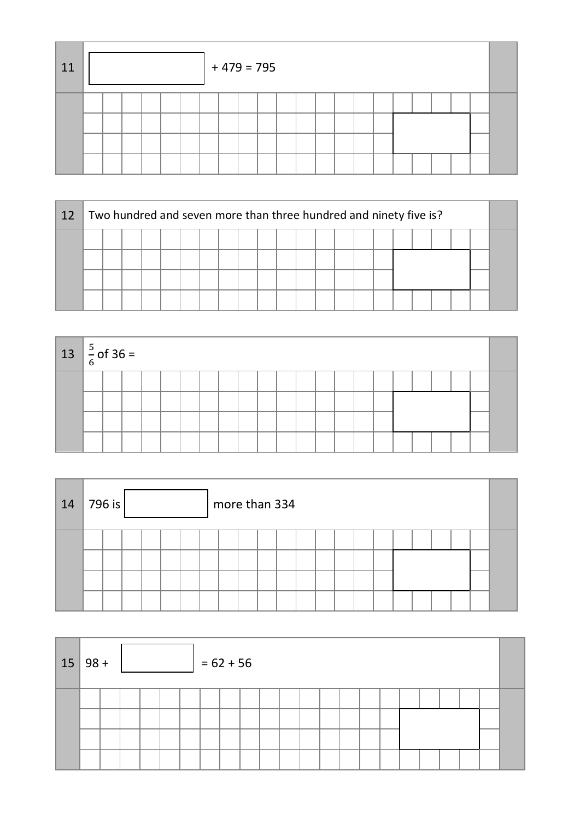| 11 |  |  |  | $+479=795$ |  |  |  |  |  |  |  |
|----|--|--|--|------------|--|--|--|--|--|--|--|
|    |  |  |  |            |  |  |  |  |  |  |  |

| 12 |  |  |  |  |  |  |  | Two hundred and seven more than three hundred and ninety five is? |  |  |  |  |  |  |  |  |  |  |  |
|----|--|--|--|--|--|--|--|-------------------------------------------------------------------|--|--|--|--|--|--|--|--|--|--|--|
|    |  |  |  |  |  |  |  |                                                                   |  |  |  |  |  |  |  |  |  |  |  |
|    |  |  |  |  |  |  |  |                                                                   |  |  |  |  |  |  |  |  |  |  |  |
|    |  |  |  |  |  |  |  |                                                                   |  |  |  |  |  |  |  |  |  |  |  |
|    |  |  |  |  |  |  |  |                                                                   |  |  |  |  |  |  |  |  |  |  |  |

| $13 \left  \frac{5}{6} \text{ of } 36 \right $ |  |  |  |  |  |  |  |  |  |  |  |
|------------------------------------------------|--|--|--|--|--|--|--|--|--|--|--|
|                                                |  |  |  |  |  |  |  |  |  |  |  |
|                                                |  |  |  |  |  |  |  |  |  |  |  |
|                                                |  |  |  |  |  |  |  |  |  |  |  |
|                                                |  |  |  |  |  |  |  |  |  |  |  |

| 14 | 796 is<br>more than 334 |  |  |  |  |  |  |  |  |  |  |  |  |  |  |  |
|----|-------------------------|--|--|--|--|--|--|--|--|--|--|--|--|--|--|--|
|    |                         |  |  |  |  |  |  |  |  |  |  |  |  |  |  |  |
|    |                         |  |  |  |  |  |  |  |  |  |  |  |  |  |  |  |

|  | $15 98+$<br>$= 62 + 56$ |  |  |  |  |  |  |  |  |  |  |  |  |  |  |  |
|--|-------------------------|--|--|--|--|--|--|--|--|--|--|--|--|--|--|--|
|  |                         |  |  |  |  |  |  |  |  |  |  |  |  |  |  |  |
|  |                         |  |  |  |  |  |  |  |  |  |  |  |  |  |  |  |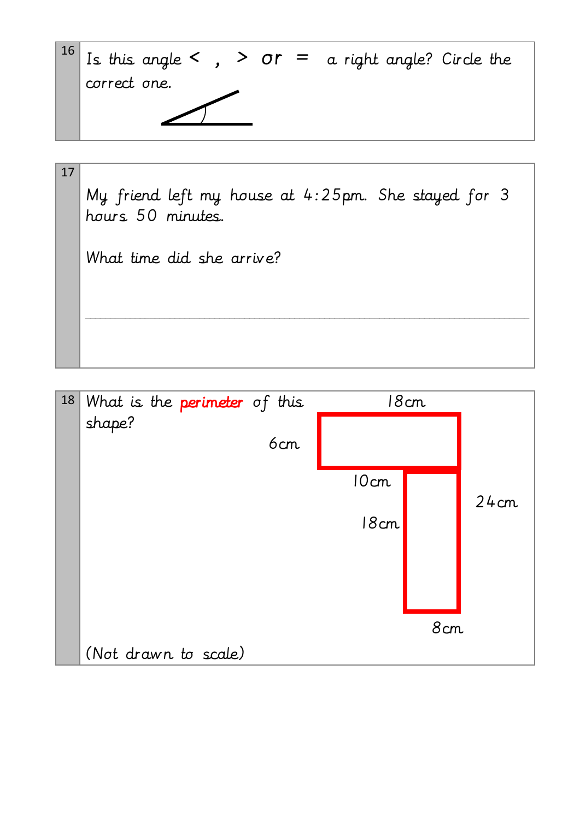

| 17 |                                                     |
|----|-----------------------------------------------------|
|    | My friend left my house at 4:25pm. She stayed for 3 |
|    | hours 50 minutes.                                   |
|    |                                                     |
|    | What time did she arrive?                           |
|    |                                                     |
|    |                                                     |
|    |                                                     |
|    |                                                     |

| 18 | What is the <b>perimeter</b> of this |      | 18cm |      |
|----|--------------------------------------|------|------|------|
|    | shape?                               |      |      |      |
|    | 6cm                                  |      |      |      |
|    |                                      | 10cm |      | 24cm |
|    |                                      | 18cm |      |      |
|    |                                      |      |      |      |
|    |                                      |      |      |      |
|    |                                      |      | 8cm  |      |
|    | (Not drawn to scale)                 |      |      |      |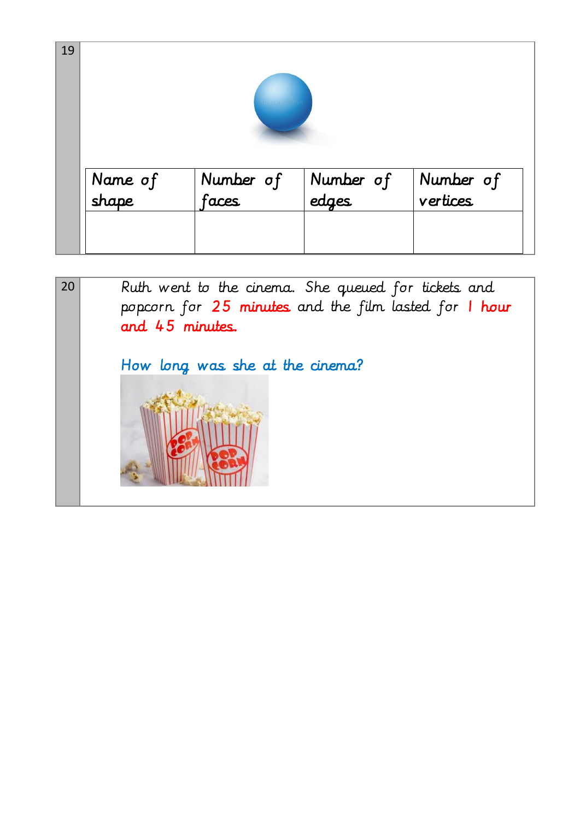| 19 |                  |                    |                    |                       |
|----|------------------|--------------------|--------------------|-----------------------|
|    | Name of<br>shape | Number of<br>faces | Number of<br>edges | Number of<br>vertices |
|    |                  |                    |                    |                       |